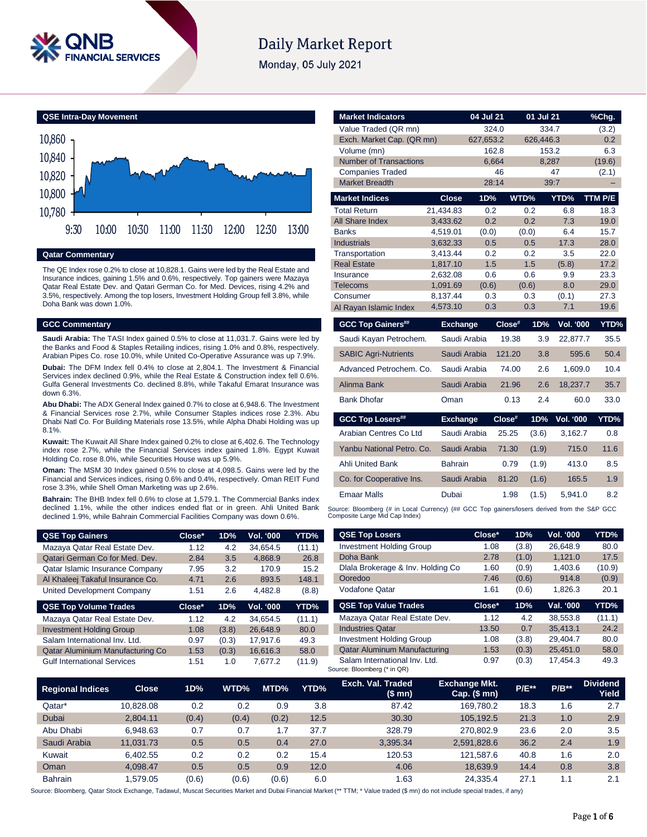

# **Daily Market Report**

Monday, 05 July 2021



### **Qatar Commentary**

The QE Index rose 0.2% to close at 10,828.1. Gains were led by the Real Estate and Insurance indices, gaining 1.5% and 0.6%, respectively. Top gainers were Mazaya Qatar Real Estate Dev. and Qatari German Co. for Med. Devices, rising 4.2% and 3.5%, respectively. Among the top losers, Investment Holding Group fell 3.8%, while Doha Bank was down 1.0%.

### **GCC Commentary**

**Saudi Arabia:** The TASI Index gained 0.5% to close at 11,031.7. Gains were led by the Banks and Food & Staples Retailing indices, rising 1.0% and 0.8%, respectively. Arabian Pipes Co. rose 10.0%, while United Co-Operative Assurance was up 7.9%.

**Dubai:** The DFM Index fell 0.4% to close at 2,804.1. The Investment & Financial Services index declined 0.9%, while the Real Estate & Construction index fell 0.6%. Gulfa General Investments Co. declined 8.8%, while Takaful Emarat Insurance was down 6.3%.

**Abu Dhabi:** The ADX General Index gained 0.7% to close at 6,948.6. The Investment & Financial Services rose 2.7%, while Consumer Staples indices rose 2.3%. Abu Dhabi Natl Co. For Building Materials rose 13.5%, while Alpha Dhabi Holding was up 8.1%.

**Kuwait:** The Kuwait All Share Index gained 0.2% to close at 6,402.6. The Technology index rose 2.7%, while the Financial Services index gained 1.8%. Egypt Kuwait Holding Co. rose 8.0%, while Securities House was up 5.9%.

**Oman:** The MSM 30 Index gained 0.5% to close at 4,098.5. Gains were led by the Financial and Services indices, rising 0.6% and 0.4%, respectively. Oman REIT Fund rose 3.3%, while Shell Oman Marketing was up 2.6%.

**Bahrain:** The BHB Index fell 0.6% to close at 1,579.1. The Commercial Banks index declined 1.1%, while the other indices ended flat or in green. Ahli United Bank declined 1.9%, while Bahrain Commercial Facilities Company was down 0.6%.

| <b>QSE Top Gainers</b>           | Close* | 1D% | Vol. '000 | YTD%   |
|----------------------------------|--------|-----|-----------|--------|
| Mazaya Qatar Real Estate Dev.    | 1.12   | 4.2 | 34.654.5  | (11.1) |
| Qatari German Co for Med. Dev.   | 2.84   | 3.5 | 4.868.9   | 26.8   |
| Qatar Islamic Insurance Company  | 7.95   | 3.2 | 170.9     | 15.2   |
| Al Khaleej Takaful Insurance Co. | 4.71   | 2.6 | 893.5     | 148.1  |
| United Development Company       | 1.51   | 2.6 | 4.482.8   | (8.8)  |
|                                  |        |     |           |        |

| $Close^*$ | 1D%   | <b>Vol. '000</b> | YTD%   |
|-----------|-------|------------------|--------|
| 1.12      | 4.2   | 34.654.5         | (11.1) |
| 1.08      | (3.8) | 26.648.9         | 80.0   |
| 0.97      | (0.3) | 17.917.6         | 49.3   |
| 1.53      | (0.3) | 16,616.3         | 58.0   |
| 1.51      | 1.0   | 7.677.2          | (11.9) |
|           |       |                  |        |

| <b>Market Indicators</b>                                                                   |                      | 04 Jul 21    |        | 01 Jul 21    |                  | %Chg.        |
|--------------------------------------------------------------------------------------------|----------------------|--------------|--------|--------------|------------------|--------------|
| Value Traded (QR mn)                                                                       |                      | 324.0        |        | 334.7        |                  | (3.2)        |
| Exch. Market Cap. (QR mn)                                                                  |                      | 627,653.2    |        | 626,446.3    |                  | 0.2          |
| Volume (mn)                                                                                |                      | 162.8        |        | 153.2        |                  | 6.3          |
| <b>Number of Transactions</b>                                                              |                      | 6,664        |        | 8,287        |                  | (19.6)       |
| <b>Companies Traded</b>                                                                    |                      |              | 46     |              | 47               | (2.1)        |
| <b>Market Breadth</b>                                                                      |                      | 28:14        |        |              | 39:7             |              |
| <b>Market Indices</b>                                                                      | <b>Close</b>         | 1D%          | WTD%   |              | YTD%             | TTM P/E      |
| <b>Total Return</b>                                                                        | 21,434.83            | 0.2          |        | 0.2          | 6.8              | 18.3         |
| All Share Index                                                                            | 3,433.62             | 0.2          |        | 0.2          | 7.3              | 19.0         |
| <b>Banks</b>                                                                               | 4,519.01             | (0.0)        |        | (0.0)        | 6.4              | 15.7         |
| <b>Industrials</b>                                                                         | 3,632.33             | 0.5          |        | 0.5          | 17.3             | 28.0         |
| Transportation                                                                             | 3,413.44             | 0.2          |        | 0.2          | 3.5              | 22.0         |
| <b>Real Estate</b>                                                                         | 1,817.10             | 1.5          |        | 1.5          | (5.8)            | 17.2         |
| Insurance                                                                                  | 2,632.08             | 0.6          |        | 0.6          | 9.9              | 23.3         |
| <b>Telecoms</b><br>Consumer                                                                | 1,091.69<br>8,137.44 | (0.6)<br>0.3 |        | (0.6)<br>0.3 | 8.0<br>(0.1)     | 29.0<br>27.3 |
| Al Rayan Islamic Index                                                                     | 4,573.10             | 0.3          |        | 0.3          | 7.1              | 19.6         |
|                                                                                            |                      |              |        |              |                  |              |
| <b>GCC Top Gainers##</b>                                                                   | <b>Exchange</b>      |              | Close# | 1D%          | Vol. '000        | YTD%         |
| Saudi Kayan Petrochem.                                                                     |                      | Saudi Arabia | 19.38  | 3.9          | 22,877.7         | 35.5         |
| <b>SABIC Agri-Nutrients</b>                                                                |                      | Saudi Arabia | 121.20 | 3.8          | 595.6            | 50.4         |
| Advanced Petrochem, Co.                                                                    |                      | Saudi Arabia | 74.00  | 2.6          | 1,609.0          | 10.4         |
| Alinma Bank                                                                                |                      | Saudi Arabia | 21.96  | 2.6          | 18,237.7         | 35.7         |
| <b>Bank Dhofar</b>                                                                         | Oman                 |              | 0.13   | 2.4          | 60.0             | 33.0         |
| <b>GCC Top Losers##</b>                                                                    | <b>Exchange</b>      |              | Close# | 1D%          | <b>Vol. '000</b> | YTD%         |
| Arabian Centres Co Ltd                                                                     |                      | Saudi Arabia | 25.25  | (3.6)        | 3,162.7          | 0.8          |
| Yanbu National Petro, Co.                                                                  |                      | Saudi Arabia | 71.30  | (1.9)        | 715.0            | 11.6         |
| <b>Ahli United Bank</b>                                                                    | <b>Bahrain</b>       |              | 0.79   | (1.9)        | 413.0            | 8.5          |
| Co. for Cooperative Ins.                                                                   |                      | Saudi Arabia | 81.20  | (1.6)        | 165.5            | 1.9          |
| <b>Emaar Malls</b>                                                                         | Dubai                |              | 1.98   | (1.5)        | 5,941.0          | 8.2          |
| ource: Bloomberg (# in Local Currency) (## GCC Top gainers/losers derived from the S&P GCC |                      |              |        |              |                  |              |

Source: Bloomberg (# in Local Currency) (## GCC Top gainers/losers derived from the S&P GCC Composite Large Mid Cap Index)

| <b>QSE Top Losers</b>               | Close* | 1D%   | <b>Vol. '000</b> | YTD%   |
|-------------------------------------|--------|-------|------------------|--------|
| <b>Investment Holding Group</b>     | 1.08   | (3.8) | 26.648.9         | 80.0   |
| Doha Bank                           | 2.78   | (1.0) | 1,121.0          | 17.5   |
| Dlala Brokerage & Inv. Holding Co.  | 1.60   | (0.9) | 1,403.6          | (10.9) |
| Ooredoo                             | 7.46   | (0.6) | 914.8            | (0.9)  |
| Vodafone Qatar                      | 1.61   | (0.6) | 1.826.3          | 20.1   |
|                                     |        |       |                  |        |
| <b>QSE Top Value Trades</b>         | Close* | 1D%   | Val. '000        | YTD%   |
| Mazaya Qatar Real Estate Dev.       | 1.12   | 4.2   | 38.553.8         | (11.1) |
| <b>Industries Qatar</b>             | 13.50  | 0.7   | 35.413.1         | 24.2   |
| <b>Investment Holding Group</b>     | 1.08   | (3.8) | 29,404.7         | 80.0   |
| <b>Qatar Aluminum Manufacturing</b> | 1.53   | (0.3) | 25,451.0         | 58.0   |

| <b>Regional Indices</b> | <b>Close</b> | 1D%   | WTD%  | MTD%  | YTD% | Exch. Val. Traded<br>(\$mn) | <b>Exchange Mkt.</b><br>$Cap.$ (\$ mn) | <b>P/E**</b> | $P/B**$ | <b>Dividend</b><br>Yield |
|-------------------------|--------------|-------|-------|-------|------|-----------------------------|----------------------------------------|--------------|---------|--------------------------|
| Qatar*                  | 10.828.08    | 0.2   | 0.2   | 0.9   | 3.8  | 87.42                       | 169.780.2                              | 18.3         | 1.6     | 2.7                      |
| <b>Dubai</b>            | 2.804.11     | (0.4) | (0.4) | (0.2) | 12.5 | 30.30                       | 105.192.5                              | 21.3         | 1.0     | 2.9                      |
| Abu Dhabi               | 6.948.63     | 0.7   | 0.7   | 7.،   | 37.7 | 328.79                      | 270.802.9                              | 23.6         | 2.0     | 3.5                      |
| Saudi Arabia            | 11.031.73    | 0.5   | 0.5   | 0.4   | 27.0 | 3.395.34                    | 2.591.828.6                            | 36.2         | 2.4     | 1.9                      |
| Kuwait                  | 6.402.55     | 0.2   | 0.2   | 0.2   | 15.4 | 120.53                      | 121.587.6                              | 40.8         | 1.6     | 2.0                      |
| Oman                    | 4.098.47     | 0.5   | 0.5   | 0.9   | 12.0 | 4.06                        | 18.639.9                               | 14.4         | 0.8     | 3.8                      |
| <b>Bahrain</b>          | .579.05      | (0.6) | (0.6) | (0.6) | 6.0  | 1.63                        | 24.335.4                               | 27.1         | 1.1     | 2.1                      |

Source: Bloomberg, Qatar Stock Exchange, Tadawul, Muscat Securities Market and Dubai Financial Market (\*\* TTM; \* Value traded (\$ mn) do not include special trades, if any)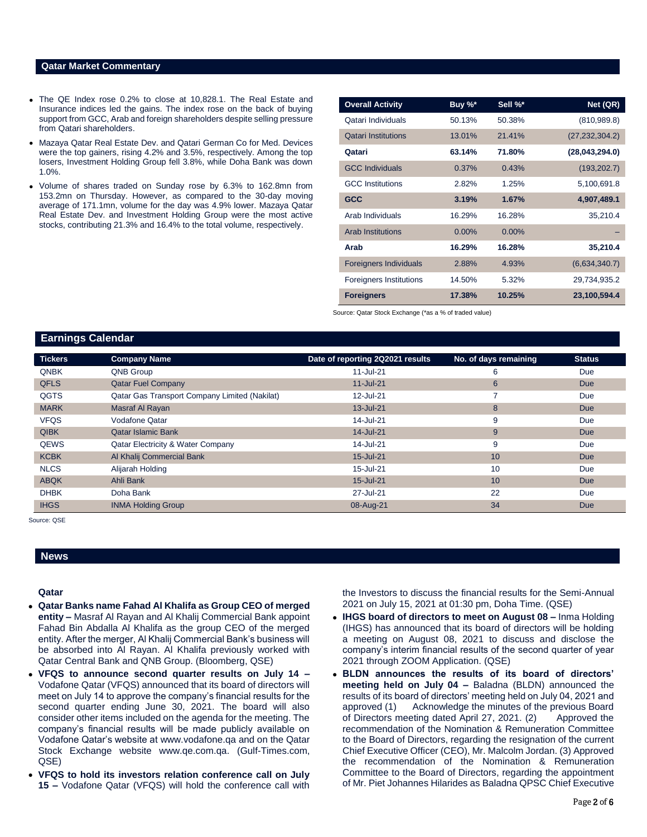### **Qatar Market Commentary**

- The QE Index rose 0.2% to close at 10,828.1. The Real Estate and Insurance indices led the gains. The index rose on the back of buying support from GCC, Arab and foreign shareholders despite selling pressure from Qatari shareholders.
- Mazaya Qatar Real Estate Dev. and Qatari German Co for Med. Devices were the top gainers, rising 4.2% and 3.5%, respectively. Among the top losers, Investment Holding Group fell 3.8%, while Doha Bank was down 1.0%.
- Volume of shares traded on Sunday rose by 6.3% to 162.8mn from 153.2mn on Thursday. However, as compared to the 30-day moving average of 171.1mn, volume for the day was 4.9% lower. Mazaya Qatar Real Estate Dev. and Investment Holding Group were the most active stocks, contributing 21.3% and 16.4% to the total volume, respectively.

| <b>Overall Activity</b>        | Buy %*   | Sell %*  | Net (QR)         |
|--------------------------------|----------|----------|------------------|
| Qatari Individuals             | 50.13%   | 50.38%   | (810, 989.8)     |
| <b>Qatari Institutions</b>     | 13.01%   | 21.41%   | (27, 232, 304.2) |
| Qatari                         | 63.14%   | 71.80%   | (28,043,294.0)   |
| <b>GCC Individuals</b>         | 0.37%    | 0.43%    | (193, 202.7)     |
| <b>GCC</b> Institutions        | 2.82%    | 1.25%    | 5,100,691.8      |
| <b>GCC</b>                     | 3.19%    | 1.67%    | 4,907,489.1      |
| Arab Individuals               | 16.29%   | 16.28%   | 35,210.4         |
| <b>Arab Institutions</b>       | $0.00\%$ | $0.00\%$ |                  |
| Arab                           | 16.29%   | 16.28%   | 35,210.4         |
| <b>Foreigners Individuals</b>  | 2.88%    | 4.93%    | (6,634,340.7)    |
| <b>Foreigners Institutions</b> | 14.50%   | 5.32%    | 29,734,935.2     |
| <b>Foreigners</b>              | 17.38%   | 10.25%   | 23,100,594.4     |

Source: Qatar Stock Exchange (\*as a % of traded value)

# **Earnings Calendar**

| <b>Tickers</b> | <b>Company Name</b>                           | Date of reporting 2Q2021 results | No. of days remaining | <b>Status</b> |
|----------------|-----------------------------------------------|----------------------------------|-----------------------|---------------|
| <b>QNBK</b>    | QNB Group                                     | 11-Jul-21                        | 6                     | Due           |
| <b>QFLS</b>    | <b>Qatar Fuel Company</b>                     | 11-Jul-21                        | 6                     | <b>Due</b>    |
| QGTS           | Qatar Gas Transport Company Limited (Nakilat) | 12-Jul-21                        | 7                     | Due           |
| <b>MARK</b>    | Masraf Al Rayan                               | 13-Jul-21                        | 8                     | <b>Due</b>    |
| <b>VFQS</b>    | Vodafone Qatar                                | 14-Jul-21                        | 9                     | Due           |
| <b>QIBK</b>    | <b>Qatar Islamic Bank</b>                     | 14-Jul-21                        | 9                     | <b>Due</b>    |
| QEWS           | Qatar Electricity & Water Company             | 14-Jul-21                        | 9                     | Due           |
| <b>KCBK</b>    | Al Khalij Commercial Bank                     | 15-Jul-21                        | 10                    | <b>Due</b>    |
| <b>NLCS</b>    | Alijarah Holding                              | 15-Jul-21                        | 10                    | Due           |
| <b>ABQK</b>    | Ahli Bank                                     | 15-Jul-21                        | 10                    | <b>Due</b>    |
| <b>DHBK</b>    | Doha Bank                                     | 27-Jul-21                        | 22                    | Due           |
| <b>IHGS</b>    | <b>INMA Holding Group</b>                     | 08-Aug-21                        | 34                    | Due           |

Source: QSE

# **News**

## **Qatar**

- **Qatar Banks name Fahad Al Khalifa as Group CEO of merged entity –** Masraf Al Rayan and Al Khalij Commercial Bank appoint Fahad Bin Abdalla Al Khalifa as the group CEO of the merged entity. After the merger, Al Khalij Commercial Bank's business will be absorbed into Al Rayan. Al Khalifa previously worked with Qatar Central Bank and QNB Group. (Bloomberg, QSE)
- **VFQS to announce second quarter results on July 14 –** Vodafone Qatar (VFQS) announced that its board of directors will meet on July 14 to approve the company's financial results for the second quarter ending June 30, 2021. The board will also consider other items included on the agenda for the meeting. The company's financial results will be made publicly available on Vodafone Qatar's website a[t www.vodafone.qa](http://www.vodafone.qa/) and on the Qatar Stock Exchange website [www.qe.com.qa.](http://www.qe.com.qa/) (Gulf-Times.com, QSE)
- **VFQS to hold its investors relation conference call on July 15 –** Vodafone Qatar (VFQS) will hold the conference call with

the Investors to discuss the financial results for the Semi-Annual 2021 on July 15, 2021 at 01:30 pm, Doha Time. (QSE)

- **IHGS board of directors to meet on August 08 –** Inma Holding (IHGS) has announced that its board of directors will be holding a meeting on August 08, 2021 to discuss and disclose the company's interim financial results of the second quarter of year 2021 through ZOOM Application. (QSE)
- **BLDN announces the results of its board of directors' meeting held on July 04 –** Baladna (BLDN) announced the results of its board of directors' meeting held on July 04, 2021 and approved (1) Acknowledge the minutes of the previous Board of Directors meeting dated April 27, 2021. (2) Approved the recommendation of the Nomination & Remuneration Committee to the Board of Directors, regarding the resignation of the current Chief Executive Officer (CEO), Mr. Malcolm Jordan. (3) Approved the recommendation of the Nomination & Remuneration Committee to the Board of Directors, regarding the appointment of Mr. Piet Johannes Hilarides as Baladna QPSC Chief Executive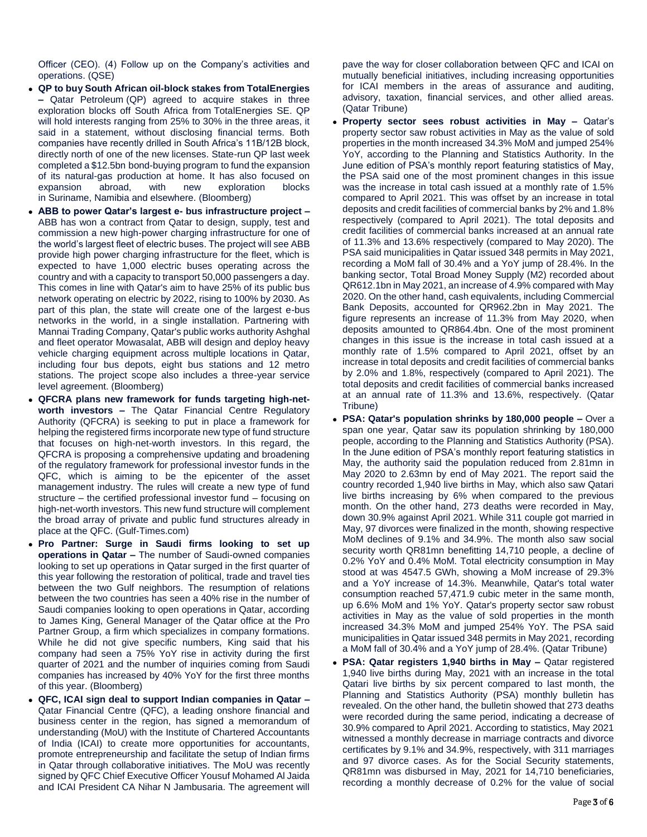Officer (CEO). (4) Follow up on the Company's activities and operations. (QSE)

- **QP to buy South African oil-block stakes from TotalEnergies –** Qatar Petroleum (QP) agreed to acquire stakes in three exploration blocks off South Africa from TotalEnergies SE. QP will hold interests ranging from 25% to 30% in the three areas, it said in a statement, without disclosing financial terms. Both companies have recently drilled in South Africa's 11B/12B block, directly north of one of the new licenses. State-run QP last week completed a \$12.5bn bond-buying program to fund the expansion of its natural-gas production at home. It has also focused on expansion abroad, with new exploration blocks in Suriname, Namibia and elsewhere. (Bloomberg)
- **ABB to power Qatar's largest e- bus infrastructure project –** ABB has won a contract from Qatar to design, supply, test and commission a new high-power charging infrastructure for one of the world's largest fleet of electric buses. The project will see ABB provide high power charging infrastructure for the fleet, which is expected to have 1,000 electric buses operating across the country and with a capacity to transport 50,000 passengers a day. This comes in line with Qatar's aim to have 25% of its public bus network operating on electric by 2022, rising to 100% by 2030. As part of this plan, the state will create one of the largest e-bus networks in the world, in a single installation. Partnering with Mannai Trading Company, Qatar's public works authority Ashghal and fleet operator Mowasalat, ABB will design and deploy heavy vehicle charging equipment across multiple locations in Qatar, including four bus depots, eight bus stations and 12 metro stations. The project scope also includes a three-year service level agreement. (Bloomberg)
- **QFCRA plans new framework for funds targeting high-networth investors –** The Qatar Financial Centre Regulatory Authority (QFCRA) is seeking to put in place a framework for helping the registered firms incorporate new type of fund structure that focuses on high-net-worth investors. In this regard, the QFCRA is proposing a comprehensive updating and broadening of the regulatory framework for professional investor funds in the QFC, which is aiming to be the epicenter of the asset management industry. The rules will create a new type of fund structure – the certified professional investor fund – focusing on high-net-worth investors. This new fund structure will complement the broad array of private and public fund structures already in place at the QFC. (Gulf-Times.com)
- **Pro Partner: Surge in Saudi firms looking to set up operations in Qatar –** The number of Saudi-owned companies looking to set up operations in Qatar surged in the first quarter of this year following the restoration of political, trade and travel ties between the two Gulf neighbors. The resumption of relations between the two countries has seen a 40% rise in the number of Saudi companies looking to open operations in Qatar, according to James King, General Manager of the Qatar office at the Pro Partner Group, a firm which specializes in company formations. While he did not give specific numbers, King said that his company had seen a 75% YoY rise in activity during the first quarter of 2021 and the number of inquiries coming from Saudi companies has increased by 40% YoY for the first three months of this year. (Bloomberg)
- **QFC, ICAI sign deal to support Indian companies in Qatar –** Qatar Financial Centre (QFC), a leading onshore financial and business center in the region, has signed a memorandum of understanding (MoU) with the Institute of Chartered Accountants of India (ICAI) to create more opportunities for accountants, promote entrepreneurship and facilitate the setup of Indian firms in Qatar through collaborative initiatives. The MoU was recently signed by QFC Chief Executive Officer Yousuf Mohamed Al Jaida and ICAI President CA Nihar N Jambusaria. The agreement will

pave the way for closer collaboration between QFC and ICAI on mutually beneficial initiatives, including increasing opportunities for ICAI members in the areas of assurance and auditing, advisory, taxation, financial services, and other allied areas. (Qatar Tribune)

- **Property sector sees robust activities in May –** Qatar's property sector saw robust activities in May as the value of sold properties in the month increased 34.3% MoM and jumped 254% YoY, according to the Planning and Statistics Authority. In the June edition of PSA's monthly report featuring statistics of May, the PSA said one of the most prominent changes in this issue was the increase in total cash issued at a monthly rate of 1.5% compared to April 2021. This was offset by an increase in total deposits and credit facilities of commercial banks by 2% and 1.8% respectively (compared to April 2021). The total deposits and credit facilities of commercial banks increased at an annual rate of 11.3% and 13.6% respectively (compared to May 2020). The PSA said municipalities in Qatar issued 348 permits in May 2021, recording a MoM fall of 30.4% and a YoY jump of 28.4%. In the banking sector, Total Broad Money Supply (M2) recorded about QR612.1bn in May 2021, an increase of 4.9% compared with May 2020. On the other hand, cash equivalents, including Commercial Bank Deposits, accounted for QR962.2bn in May 2021. The figure represents an increase of 11.3% from May 2020, when deposits amounted to QR864.4bn. One of the most prominent changes in this issue is the increase in total cash issued at a monthly rate of 1.5% compared to April 2021, offset by an increase in total deposits and credit facilities of commercial banks by 2.0% and 1.8%, respectively (compared to April 2021). The total deposits and credit facilities of commercial banks increased at an annual rate of 11.3% and 13.6%, respectively. (Qatar Tribune)
- **PSA: Qatar's population shrinks by 180,000 people –** Over a span one year, Qatar saw its population shrinking by 180,000 people, according to the Planning and Statistics Authority (PSA). In the June edition of PSA's monthly report featuring statistics in May, the authority said the population reduced from 2.81mn in May 2020 to 2.63mn by end of May 2021. The report said the country recorded 1,940 live births in May, which also saw Qatari live births increasing by 6% when compared to the previous month. On the other hand, 273 deaths were recorded in May, down 30.9% against April 2021. While 311 couple got married in May, 97 divorces were finalized in the month, showing respective MoM declines of 9.1% and 34.9%. The month also saw social security worth QR81mn benefitting 14,710 people, a decline of 0.2% YoY and 0.4% MoM. Total electricity consumption in May stood at was 4547.5 GWh, showing a MoM increase of 29.3% and a YoY increase of 14.3%. Meanwhile, Qatar's total water consumption reached 57,471.9 cubic meter in the same month, up 6.6% MoM and 1% YoY. Qatar's property sector saw robust activities in May as the value of sold properties in the month increased 34.3% MoM and jumped 254% YoY. The PSA said municipalities in Qatar issued 348 permits in May 2021, recording a MoM fall of 30.4% and a YoY jump of 28.4%. (Qatar Tribune)
- **PSA: Qatar registers 1,940 births in May –** Qatar registered 1,940 live births during May, 2021 with an increase in the total Qatari live births by six percent compared to last month, the Planning and Statistics Authority (PSA) monthly bulletin has revealed. On the other hand, the bulletin showed that 273 deaths were recorded during the same period, indicating a decrease of 30.9% compared to April 2021. According to statistics, May 2021 witnessed a monthly decrease in marriage contracts and divorce certificates by 9.1% and 34.9%, respectively, with 311 marriages and 97 divorce cases. As for the Social Security statements, QR81mn was disbursed in May, 2021 for 14,710 beneficiaries, recording a monthly decrease of 0.2% for the value of social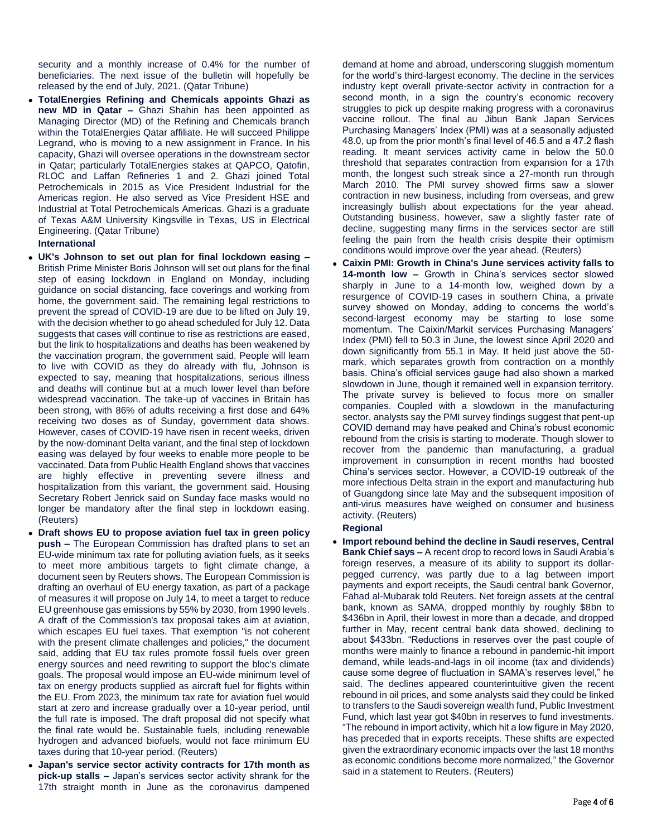security and a monthly increase of 0.4% for the number of beneficiaries. The next issue of the bulletin will hopefully be released by the end of July, 2021. (Qatar Tribune)

 **TotalEnergies Refining and Chemicals appoints Ghazi as new MD in Qatar –** Ghazi Shahin has been appointed as Managing Director (MD) of the Refining and Chemicals branch within the TotalEnergies Qatar affiliate. He will succeed Philippe Legrand, who is moving to a new assignment in France. In his capacity, Ghazi will oversee operations in the downstream sector in Qatar; particularly TotalEnergies stakes at QAPCO, Qatofin, RLOC and Laffan Refineries 1 and 2. Ghazi joined Total Petrochemicals in 2015 as Vice President Industrial for the Americas region. He also served as Vice President HSE and Industrial at Total Petrochemicals Americas. Ghazi is a graduate of Texas A&M University Kingsville in Texas, US in Electrical Engineering. (Qatar Tribune)

# **International**

- **UK's Johnson to set out plan for final lockdown easing –** British Prime Minister Boris Johnson will set out plans for the final step of easing lockdown in England on Monday, including guidance on social distancing, face coverings and working from home, the government said. The remaining legal restrictions to prevent the spread of COVID-19 are due to be lifted on July 19, with the decision whether to go ahead scheduled for July 12. Data suggests that cases will continue to rise as restrictions are eased, but the link to hospitalizations and deaths has been weakened by the vaccination program, the government said. People will learn to live with COVID as they do already with flu, Johnson is expected to say, meaning that hospitalizations, serious illness and deaths will continue but at a much lower level than before widespread vaccination. The take-up of vaccines in Britain has been strong, with 86% of adults receiving a first dose and 64% receiving two doses as of Sunday, government data shows. However, cases of COVID-19 have risen in recent weeks, driven by the now-dominant Delta variant, and the final step of lockdown easing was delayed by four weeks to enable more people to be vaccinated. Data from Public Health England shows that vaccines are highly effective in preventing severe illness and hospitalization from this variant, the government said. Housing Secretary Robert Jenrick said on Sunday face masks would no longer be mandatory after the final step in lockdown easing. (Reuters)
- **Draft shows EU to propose aviation fuel tax in green policy push –** The European Commission has drafted plans to set an EU-wide minimum tax rate for polluting aviation fuels, as it seeks to meet more ambitious targets to fight climate change, a document seen by Reuters shows. The European Commission is drafting an overhaul of EU energy taxation, as part of a package of measures it will propose on July 14, to meet a target to reduce EU greenhouse gas emissions by 55% by 2030, from 1990 levels. A draft of the Commission's tax proposal takes aim at aviation, which escapes EU fuel taxes. That exemption "is not coherent with the present climate challenges and policies," the document said, adding that EU tax rules promote fossil fuels over green energy sources and need rewriting to support the bloc's climate goals. The proposal would impose an EU-wide minimum level of tax on energy products supplied as aircraft fuel for flights within the EU. From 2023, the minimum tax rate for aviation fuel would start at zero and increase gradually over a 10-year period, until the full rate is imposed. The draft proposal did not specify what the final rate would be. Sustainable fuels, including renewable hydrogen and advanced biofuels, would not face minimum EU taxes during that 10-year period. (Reuters)
- **Japan's service sector activity contracts for 17th month as pick-up stalls –** Japan's services sector activity shrank for the 17th straight month in June as the coronavirus dampened

demand at home and abroad, underscoring sluggish momentum for the world's third-largest economy. The decline in the services industry kept overall private-sector activity in contraction for a second month, in a sign the country's economic recovery struggles to pick up despite making progress with a coronavirus vaccine rollout. The final au Jibun Bank Japan Services Purchasing Managers' Index (PMI) was at a seasonally adjusted 48.0, up from the prior month's final level of 46.5 and a 47.2 flash reading. It meant services activity came in below the 50.0 threshold that separates contraction from expansion for a 17th month, the longest such streak since a 27-month run through March 2010. The PMI survey showed firms saw a slower contraction in new business, including from overseas, and grew increasingly bullish about expectations for the year ahead. Outstanding business, however, saw a slightly faster rate of decline, suggesting many firms in the services sector are still feeling the pain from the health crisis despite their optimism conditions would improve over the year ahead. (Reuters)

 **Caixin PMI: Growth in China's June services activity falls to 14-month low –** Growth in China's services sector slowed sharply in June to a 14-month low, weighed down by a resurgence of COVID-19 cases in southern China, a private survey showed on Monday, adding to concerns the world's second-largest economy may be starting to lose some momentum. The Caixin/Markit services Purchasing Managers' Index (PMI) fell to 50.3 in June, the lowest since April 2020 and down significantly from 55.1 in May. It held just above the 50 mark, which separates growth from contraction on a monthly basis. China's official services gauge had also shown a marked slowdown in June, though it remained well in expansion territory. The private survey is believed to focus more on smaller companies. Coupled with a slowdown in the manufacturing sector, analysts say the PMI survey findings suggest that pent-up COVID demand may have peaked and China's robust economic rebound from the crisis is starting to moderate. Though slower to recover from the pandemic than manufacturing, a gradual improvement in consumption in recent months had boosted China's services sector. However, a COVID-19 outbreak of the more infectious Delta strain in the export and manufacturing hub of Guangdong since late May and the subsequent imposition of anti-virus measures have weighed on consumer and business activity. (Reuters)

# **Regional**

 **Import rebound behind the decline in Saudi reserves, Central Bank Chief says –** A recent drop to record lows in Saudi Arabia's foreign reserves, a measure of its ability to support its dollarpegged currency, was partly due to a lag between import payments and export receipts, the Saudi central bank Governor, Fahad al-Mubarak told Reuters. Net foreign assets at the central bank, known as SAMA, dropped monthly by roughly \$8bn to \$436bn in April, their lowest in more than a decade, and dropped further in May, recent central bank data showed, declining to about \$433bn. "Reductions in reserves over the past couple of months were mainly to finance a rebound in pandemic-hit import demand, while leads-and-lags in oil income (tax and dividends) cause some degree of fluctuation in SAMA's reserves level," he said. The declines appeared counterintuitive given the recent rebound in oil prices, and some analysts said they could be linked to transfers to the Saudi sovereign wealth fund, Public Investment Fund, which last year got \$40bn in reserves to fund investments. "The rebound in import activity, which hit a low figure in May 2020, has preceded that in exports receipts. These shifts are expected given the extraordinary economic impacts over the last 18 months as economic conditions become more normalized," the Governor said in a statement to Reuters. (Reuters)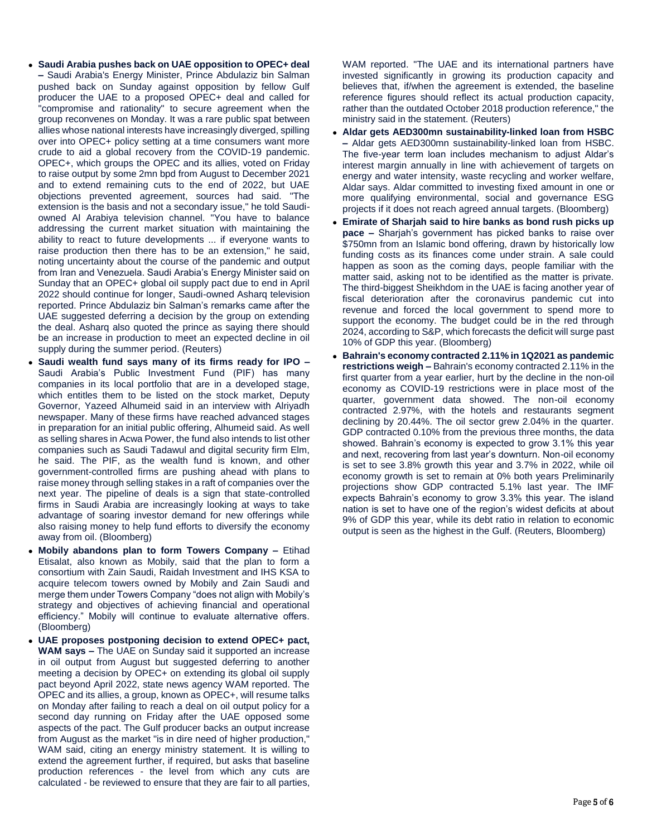- **Saudi Arabia pushes back on UAE opposition to OPEC+ deal –** Saudi Arabia's Energy Minister, Prince Abdulaziz bin Salman pushed back on Sunday against opposition by fellow Gulf producer the UAE to a proposed OPEC+ deal and called for "compromise and rationality" to secure agreement when the group reconvenes on Monday. It was a rare public spat between allies whose national interests have increasingly diverged, spilling over into OPEC+ policy setting at a time consumers want more crude to aid a global recovery from the COVID-19 pandemic. OPEC+, which groups the OPEC and its allies, voted on Friday to raise output by some 2mn bpd from August to December 2021 and to extend remaining cuts to the end of 2022, but UAE objections prevented agreement, sources had said. "The extension is the basis and not a secondary issue," he told Saudiowned Al Arabiya television channel. "You have to balance addressing the current market situation with maintaining the ability to react to future developments ... if everyone wants to raise production then there has to be an extension," he said, noting uncertainty about the course of the pandemic and output from Iran and Venezuela. Saudi Arabia's Energy Minister said on Sunday that an OPEC+ global oil supply pact due to end in April 2022 should continue for longer, Saudi-owned Asharq television reported. Prince Abdulaziz bin Salman's remarks came after the UAE suggested deferring a decision by the group on extending the deal. Asharq also quoted the prince as saying there should be an increase in production to meet an expected decline in oil supply during the summer period. (Reuters)
- **Saudi wealth fund says many of its firms ready for IPO –** Saudi Arabia's Public Investment Fund (PIF) has many companies in its local portfolio that are in a developed stage, which entitles them to be listed on the stock market, Deputy Governor, Yazeed Alhumeid said in an interview with Alriyadh newspaper. Many of these firms have reached advanced stages in preparation for an initial public offering, Alhumeid said. As well as selling shares in Acwa Power, the fund also intends to list other companies such as Saudi Tadawul and digital security firm Elm, he said. The PIF, as the wealth fund is known, and other government-controlled firms are pushing ahead with plans to raise money through selling stakes in a raft of companies over the next year. The pipeline of deals is a sign that state-controlled firms in Saudi Arabia are increasingly looking at ways to take advantage of soaring investor demand for new offerings while also raising money to help fund efforts to diversify the economy away from oil. (Bloomberg)
- **Mobily abandons plan to form Towers Company –** Etihad Etisalat, also known as Mobily, said that the plan to form a consortium with Zain Saudi, Raidah Investment and IHS KSA to acquire telecom towers owned by Mobily and Zain Saudi and merge them under Towers Company "does not align with Mobily's strategy and objectives of achieving financial and operational efficiency." Mobily will continue to evaluate alternative offers. (Bloomberg)
- **UAE proposes postponing decision to extend OPEC+ pact, WAM says –** The UAE on Sunday said it supported an increase in oil output from August but suggested deferring to another meeting a decision by OPEC+ on extending its global oil supply pact beyond April 2022, state news agency WAM reported. The OPEC and its allies, a group, known as OPEC+, will resume talks on Monday after failing to reach a deal on oil output policy for a second day running on Friday after the UAE opposed some aspects of the pact. The Gulf producer backs an output increase from August as the market "is in dire need of higher production," WAM said, citing an energy ministry statement. It is willing to extend the agreement further, if required, but asks that baseline production references - the level from which any cuts are calculated - be reviewed to ensure that they are fair to all parties,

WAM reported. "The UAE and its international partners have invested significantly in growing its production capacity and believes that, if/when the agreement is extended, the baseline reference figures should reflect its actual production capacity, rather than the outdated October 2018 production reference," the ministry said in the statement. (Reuters)

- **Aldar gets AED300mn sustainability-linked loan from HSBC –** Aldar gets AED300mn sustainability-linked loan from HSBC. The five-year term loan includes mechanism to adjust Aldar's interest margin annually in line with achievement of targets on energy and water intensity, waste recycling and worker welfare, Aldar says. Aldar committed to investing fixed amount in one or more qualifying environmental, social and governance ESG projects if it does not reach agreed annual targets. (Bloomberg)
- **Emirate of Sharjah said to hire banks as bond rush picks up pace –** Sharjah's government has picked banks to raise over \$750mn from an Islamic bond offering, drawn by historically low funding costs as its finances come under strain. A sale could happen as soon as the coming days, people familiar with the matter said, asking not to be identified as the matter is private. The third-biggest Sheikhdom in the UAE is facing another year of fiscal deterioration after the coronavirus pandemic cut into revenue and forced the local government to spend more to support the economy. The budget could be in the red through 2024, according to S&P, which forecasts the deficit will surge past 10% of GDP this year. (Bloomberg)
- **Bahrain's economy contracted 2.11% in 1Q2021 as pandemic restrictions weigh –** Bahrain's economy contracted 2.11% in the first quarter from a year earlier, hurt by the decline in the non-oil economy as COVID-19 restrictions were in place most of the quarter, government data showed. The non-oil economy contracted 2.97%, with the hotels and restaurants segment declining by 20.44%. The oil sector grew 2.04% in the quarter. GDP contracted 0.10% from the previous three months, the data showed. Bahrain's economy is expected to grow 3.1% this year and next, recovering from last year's downturn. Non-oil economy is set to see 3.8% growth this year and 3.7% in 2022, while oil economy growth is set to remain at 0% both years Preliminarily projections show GDP contracted 5.1% last year. The IMF expects Bahrain's economy to grow 3.3% this year. The island nation is set to have one of the region's widest deficits at about 9% of GDP this year, while its debt ratio in relation to economic output is seen as the highest in the Gulf. (Reuters, Bloomberg)